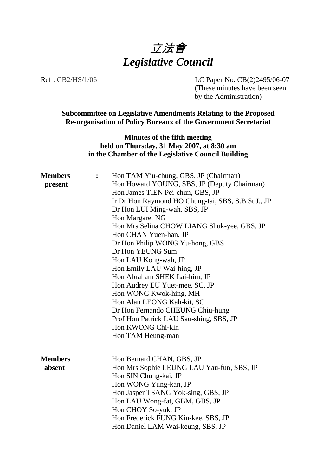

Ref : CB2/HS/1/06 LC Paper No. CB(2)2495/06-07

(These minutes have been seen by the Administration)

**Subcommittee on Legislative Amendments Relating to the Proposed Re-organisation of Policy Bureaux of the Government Secretariat**

> **Minutes of the fifth meeting held on Thursday, 31 May 2007, at 8:30 am in the Chamber of the Legislative Council Building**

| <b>Members</b> | Hon TAM Yiu-chung, GBS, JP (Chairman)              |
|----------------|----------------------------------------------------|
| present        | Hon Howard YOUNG, SBS, JP (Deputy Chairman)        |
|                | Hon James TIEN Pei-chun, GBS, JP                   |
|                | Ir Dr Hon Raymond HO Chung-tai, SBS, S.B.St.J., JP |
|                | Dr Hon LUI Ming-wah, SBS, JP                       |
|                | Hon Margaret NG                                    |
|                | Hon Mrs Selina CHOW LIANG Shuk-yee, GBS, JP        |
|                | Hon CHAN Yuen-han, JP                              |
|                | Dr Hon Philip WONG Yu-hong, GBS                    |
|                | Dr Hon YEUNG Sum                                   |
|                | Hon LAU Kong-wah, JP                               |
|                | Hon Emily LAU Wai-hing, JP                         |
|                | Hon Abraham SHEK Lai-him, JP                       |
|                | Hon Audrey EU Yuet-mee, SC, JP                     |
|                | Hon WONG Kwok-hing, MH                             |
|                | Hon Alan LEONG Kah-kit, SC                         |
|                | Dr Hon Fernando CHEUNG Chiu-hung                   |
|                | Prof Hon Patrick LAU Sau-shing, SBS, JP            |
|                | Hon KWONG Chi-kin                                  |
|                | Hon TAM Heung-man                                  |
|                |                                                    |
|                |                                                    |
| <b>Members</b> | Hon Bernard CHAN, GBS, JP                          |
| absent         | Hon Mrs Sophie LEUNG LAU Yau-fun, SBS, JP          |
|                | Hon SIN Chung-kai, JP                              |
|                | Hon WONG Yung-kan, JP                              |
|                | Hon Jasper TSANG Yok-sing, GBS, JP                 |
|                | Hon LAU Wong-fat, GBM, GBS, JP                     |
|                | Hon CHOY So-yuk, JP                                |
|                | Hon Frederick FUNG Kin-kee, SBS, JP                |
|                | Hon Daniel LAM Wai-keung, SBS, JP                  |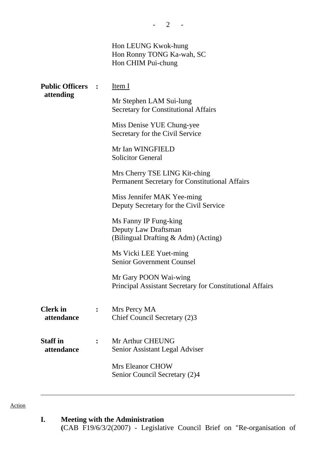|                   | Hon LEUNG Kwok-hung<br>Hon Ronny TONG Ka-wah, SC<br>Hon CHIM Pui-chung                 |
|-------------------|----------------------------------------------------------------------------------------|
| Public Officers : | Item I                                                                                 |
| attending         | Mr Stephen LAM Sui-lung<br><b>Secretary for Constitutional Affairs</b>                 |
|                   | Miss Denise YUE Chung-yee<br>Secretary for the Civil Service                           |
|                   | Mr Ian WINGFIELD<br><b>Solicitor General</b>                                           |
|                   | Mrs Cherry TSE LING Kit-ching<br><b>Permanent Secretary for Constitutional Affairs</b> |
|                   | Miss Jennifer MAK Yee-ming<br>Deputy Secretary for the Civil Service                   |
|                   | Ms Fanny IP Fung-king<br>Danuty Law Drafteman                                          |

Deputy Law Draftsman (Bilingual Drafting & Adm) (Acting)

Ms Vicki LEE Yuet-ming Senior Government Counsel

Mr Gary POON Wai-wing Principal Assistant Secretary for Constitutional Affairs

| <b>Clerk</b> in | Mrs Percy MA                 |  |
|-----------------|------------------------------|--|
| attendance      | Chief Council Secretary (2)3 |  |

**Staff in attendance :** Mr Arthur CHEUNG Senior Assistant Legal Adviser

> Mrs Eleanor CHOW Senior Council Secretary (2)4

Action

**Public** 

**I. Meeting with the Administration** 

**(**CAB F19/6/3/2(2007) - Legislative Council Brief on "Re-organisation of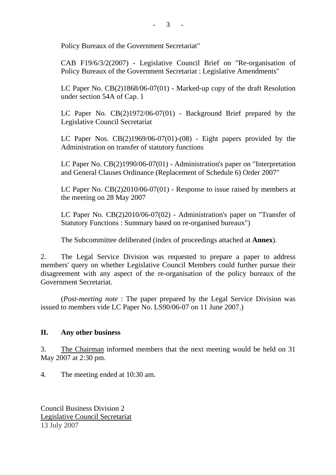$-3 - 3$ 

Policy Bureaux of the Government Secretariat"

CAB F19/6/3/2(2007) - Legislative Council Brief on "Re-organisation of Policy Bureaux of the Government Secretariat : Legislative Amendments"

LC Paper No. CB(2)1868/06-07(01) - Marked-up copy of the draft Resolution under section 54A of Cap. 1

LC Paper No. CB(2)1972/06-07(01) - Background Brief prepared by the Legislative Council Secretariat

LC Paper Nos.  $CB(2)1969/06-07(01)-(08)$  - Eight papers provided by the Administration on transfer of statutory functions

LC Paper No. CB(2)1990/06-07(01) - Administration's paper on "Interpretation and General Clauses Ordinance (Replacement of Schedule 6) Order 2007"

LC Paper No. CB(2)2010/06-07(01) - Response to issue raised by members at the meeting on 28 May 2007

LC Paper No. CB(2)2010/06-07(02) - Administration's paper on "Transfer of Statutory Functions : Summary based on re-organised bureaux")

The Subcommittee deliberated (index of proceedings attached at **Annex**).

2. The Legal Service Division was requested to prepare a paper to address members' query on whether Legislative Council Members could further pursue their disagreement with any aspect of the re-organisation of the policy bureaux of the Government Secretariat.

 (*Post-meeting note* : The paper prepared by the Legal Service Division was issued to members vide LC Paper No. LS90/06-07 on 11 June 2007.)

## **II. Any other business**

3. The Chairman informed members that the next meeting would be held on 31 May 2007 at 2:30 pm.

4. The meeting ended at 10:30 am.

Council Business Division 2 Legislative Council Secretariat 13 July 2007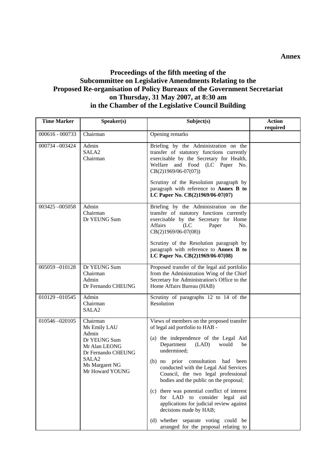## **Proceedings of the fifth meeting of the Subcommittee on Legislative Amendments Relating to the Proposed Re-organisation of Policy Bureaux of the Government Secretariat on Thursday, 31 May 2007, at 8:30 am in the Chamber of the Legislative Council Building**

| <b>Time Marker</b> | Speaker(s)                                                                                                                                         | Subject(s)                                                                                                                                                                                                                                                                                                                                                                                                                                                                                                                                                                                    | <b>Action</b><br>required |
|--------------------|----------------------------------------------------------------------------------------------------------------------------------------------------|-----------------------------------------------------------------------------------------------------------------------------------------------------------------------------------------------------------------------------------------------------------------------------------------------------------------------------------------------------------------------------------------------------------------------------------------------------------------------------------------------------------------------------------------------------------------------------------------------|---------------------------|
| 000616 - 000733    | Chairman                                                                                                                                           | Opening remarks                                                                                                                                                                                                                                                                                                                                                                                                                                                                                                                                                                               |                           |
| 000734-003424      | Admin<br>SALA <sub>2</sub><br>Chairman                                                                                                             | Briefing by the Administration on the<br>transfer of statutory functions currently<br>exercisable by the Secretary for Health,<br>Welfare and Food (LC Paper No.<br>$CB(2)1969/06-07(07))$<br>Scrutiny of the Resolution paragraph by<br>paragraph with reference to Annex B to<br>LC Paper No. CB(2)1969/06-07(07)                                                                                                                                                                                                                                                                           |                           |
| 003425-005058      | Admin<br>Chairman<br>Dr YEUNG Sum                                                                                                                  | Briefing by the Administration on the<br>transfer of statutory functions currently<br>exercisable by the Secretary for Home<br><b>Affairs</b><br>(LC)<br>Paper<br>No.<br>$CB(2)1969/06-07(08))$<br>Scrutiny of the Resolution paragraph by<br>paragraph with reference to Annex B to<br>LC Paper No. CB(2)1969/06-07(08)                                                                                                                                                                                                                                                                      |                           |
| 005059-010128      | Dr YEUNG Sum<br>Chairman<br>Admin<br>Dr Fernando CHEUNG                                                                                            | Proposed transfer of the legal aid portfolio<br>from the Administration Wing of the Chief<br>Secretary for Administration's Office to the<br>Home Affairs Bureau (HAB)                                                                                                                                                                                                                                                                                                                                                                                                                        |                           |
| 010129-010545      | Admin<br>Chairman<br>SALA <sub>2</sub>                                                                                                             | Scrutiny of paragraphs 12 to 14 of the<br>Resolution                                                                                                                                                                                                                                                                                                                                                                                                                                                                                                                                          |                           |
| 010546-020105      | Chairman<br>Ms Emily LAU<br>Admin<br>Dr YEUNG Sum<br>Mr Alan LEONG<br>Dr Fernando CHEUNG<br>SALA <sub>2</sub><br>Ms Margaret NG<br>Mr Howard YOUNG | Views of members on the proposed transfer<br>of legal aid portfolio to HAB -<br>(a) the independence of the Legal Aid<br>Department<br>(LAD)<br>would<br>be<br>undermined;<br>prior consultation<br>$(b)$ no<br>had<br>been<br>conducted with the Legal Aid Services<br>Council, the two legal professional<br>bodies and the public on the proposal;<br>(c) there was potential conflict of interest<br>for LAD to consider legal aid<br>applications for judicial review against<br>decisions made by HAB;<br>(d) whether separate voting could be<br>arranged for the proposal relating to |                           |